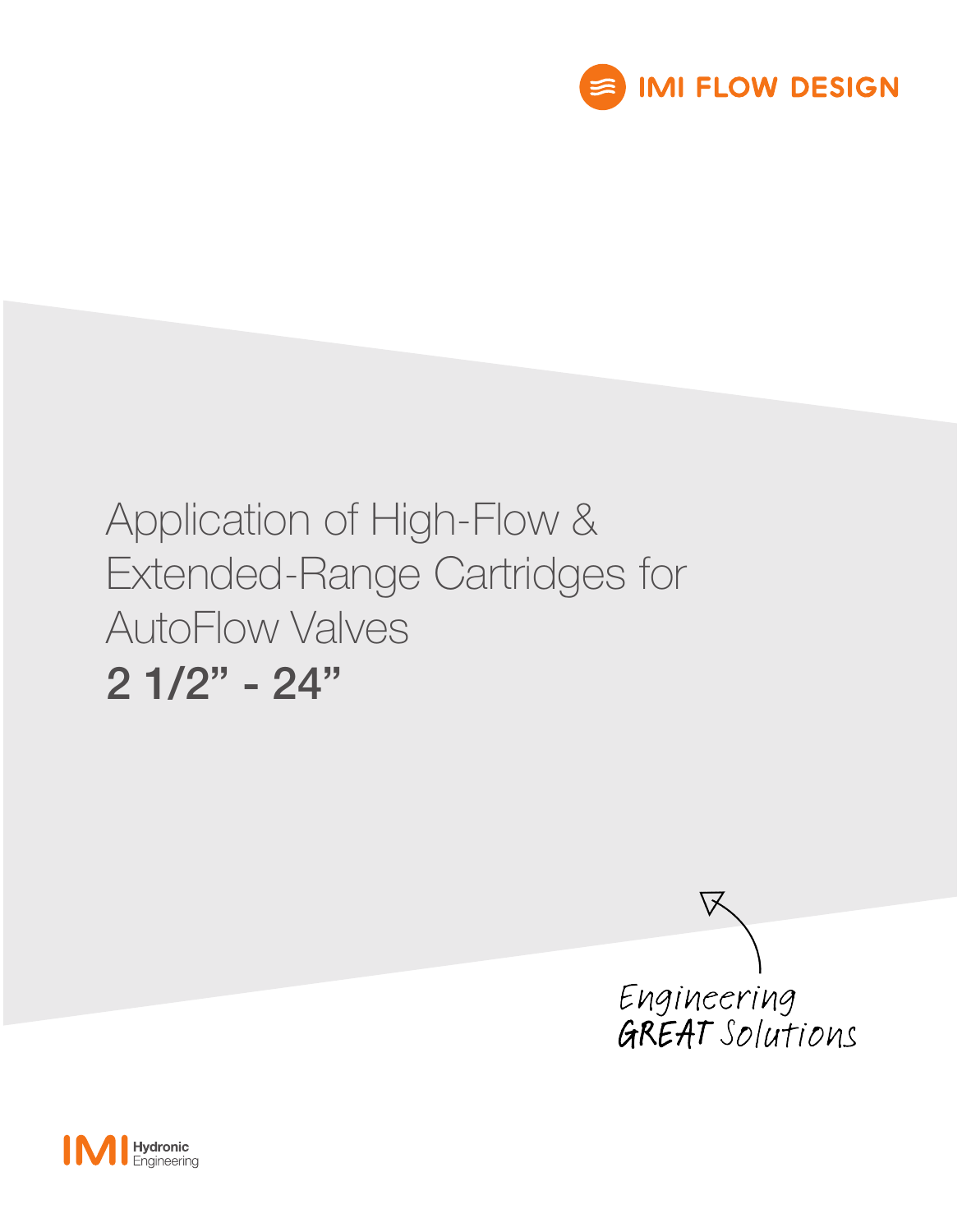

# Application of High-Flow & Extended-Range Cartridges for AutoFlow Valves 2 1/2" - 24"



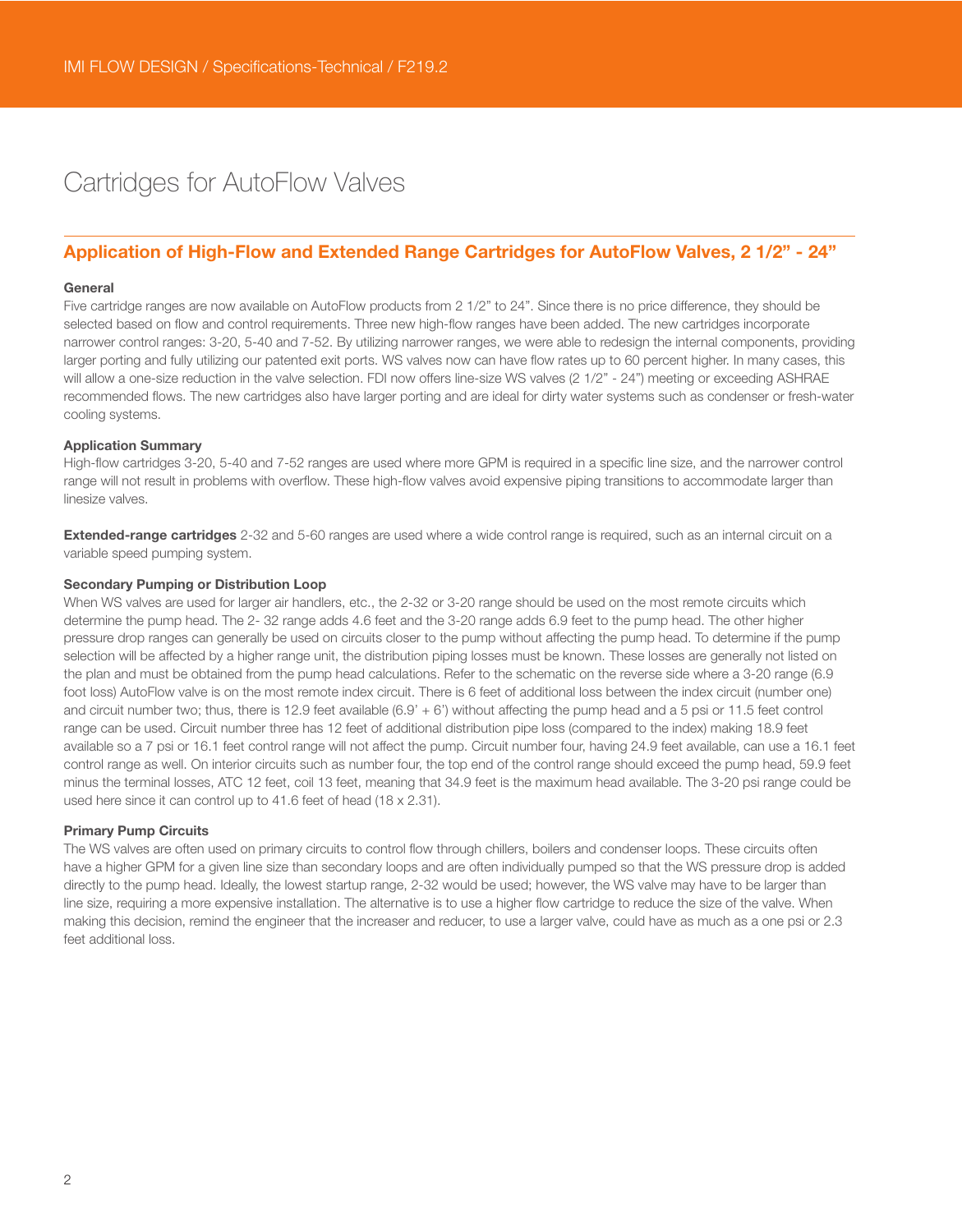# Cartridges for AutoFlow Valves

### Application of High-Flow and Extended Range Cartridges for AutoFlow Valves, 2 1/2" - 24"

#### General

Five cartridge ranges are now available on AutoFlow products from 2 1/2" to 24". Since there is no price difference, they should be selected based on flow and control requirements. Three new high-flow ranges have been added. The new cartridges incorporate narrower control ranges: 3-20, 5-40 and 7-52. By utilizing narrower ranges, we were able to redesign the internal components, providing larger porting and fully utilizing our patented exit ports. WS valves now can have flow rates up to 60 percent higher. In many cases, this will allow a one-size reduction in the valve selection. FDI now offers line-size WS valves (2 1/2" - 24") meeting or exceeding ASHRAE recommended flows. The new cartridges also have larger porting and are ideal for dirty water systems such as condenser or fresh-water cooling systems.

#### Application Summary

High-flow cartridges 3-20, 5-40 and 7-52 ranges are used where more GPM is required in a specific line size, and the narrower control range will not result in problems with overflow. These high-flow valves avoid expensive piping transitions to accommodate larger than linesize valves.

Extended-range cartridges 2-32 and 5-60 ranges are used where a wide control range is required, such as an internal circuit on a variable speed pumping system.

#### Secondary Pumping or Distribution Loop

When WS valves are used for larger air handlers, etc., the 2-32 or 3-20 range should be used on the most remote circuits which determine the pump head. The 2- 32 range adds 4.6 feet and the 3-20 range adds 6.9 feet to the pump head. The other higher pressure drop ranges can generally be used on circuits closer to the pump without affecting the pump head. To determine if the pump selection will be affected by a higher range unit, the distribution piping losses must be known. These losses are generally not listed on the plan and must be obtained from the pump head calculations. Refer to the schematic on the reverse side where a 3-20 range (6.9 foot loss) AutoFlow valve is on the most remote index circuit. There is 6 feet of additional loss between the index circuit (number one) and circuit number two; thus, there is 12.9 feet available (6.9' + 6') without affecting the pump head and a 5 psi or 11.5 feet control range can be used. Circuit number three has 12 feet of additional distribution pipe loss (compared to the index) making 18.9 feet available so a 7 psi or 16.1 feet control range will not affect the pump. Circuit number four, having 24.9 feet available, can use a 16.1 feet control range as well. On interior circuits such as number four, the top end of the control range should exceed the pump head, 59.9 feet minus the terminal losses, ATC 12 feet, coil 13 feet, meaning that 34.9 feet is the maximum head available. The 3-20 psi range could be used here since it can control up to 41.6 feet of head (18 x 2.31).

#### Primary Pump Circuits

The WS valves are often used on primary circuits to control flow through chillers, boilers and condenser loops. These circuits often have a higher GPM for a given line size than secondary loops and are often individually pumped so that the WS pressure drop is added directly to the pump head. Ideally, the lowest startup range, 2-32 would be used; however, the WS valve may have to be larger than line size, requiring a more expensive installation. The alternative is to use a higher flow cartridge to reduce the size of the valve. When making this decision, remind the engineer that the increaser and reducer, to use a larger valve, could have as much as a one psi or 2.3 feet additional loss.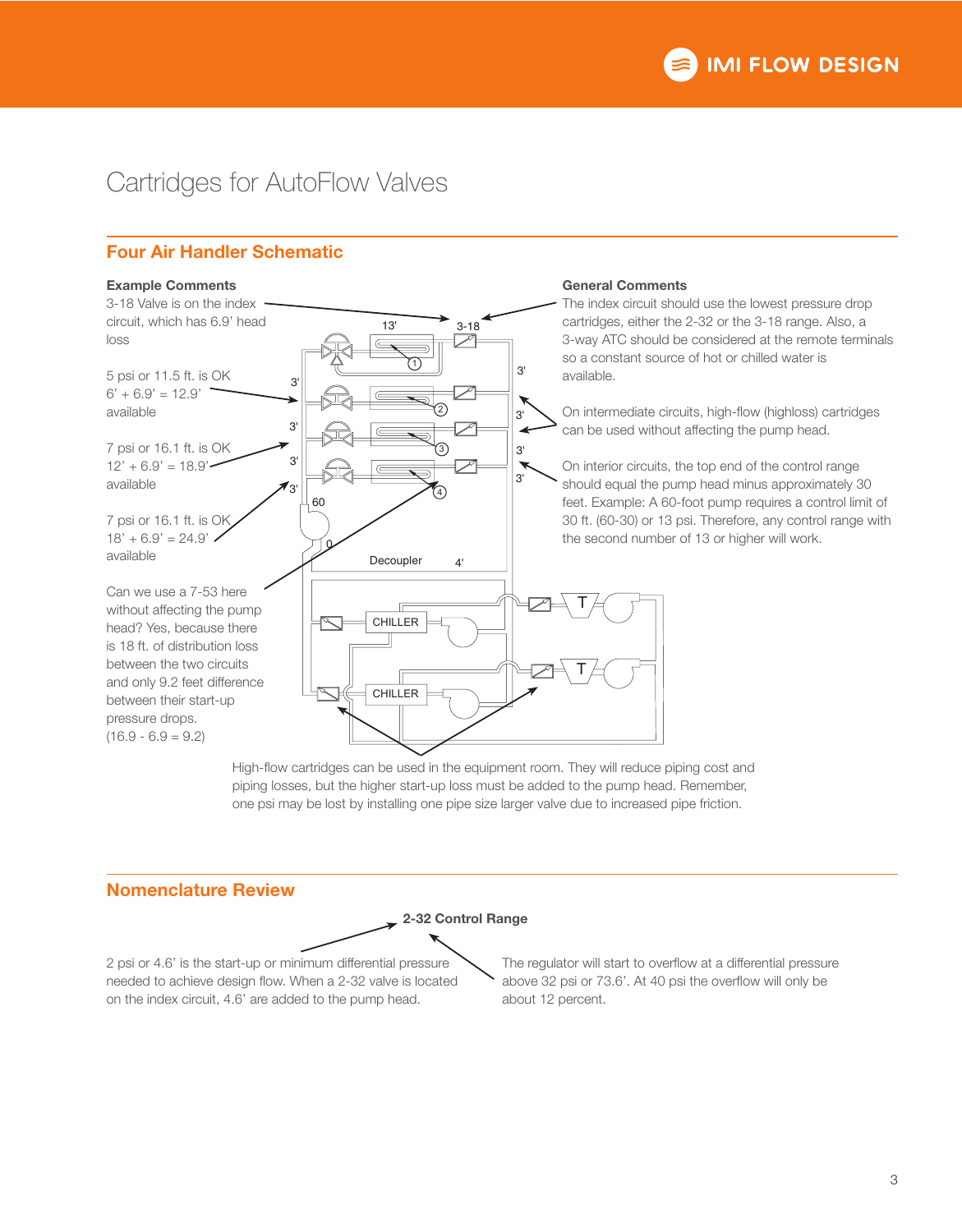# Cartridges for AutoFlow Valves

## Four Air Handler Schematic



High-flow cartridges can be used in the equipment room. They will reduce piping cost and piping losses, but the higher start-up loss must be added to the pump head. Remember, one psi may be lost by installing one pipe size larger valve due to increased pipe friction.

## Nomenclature Review